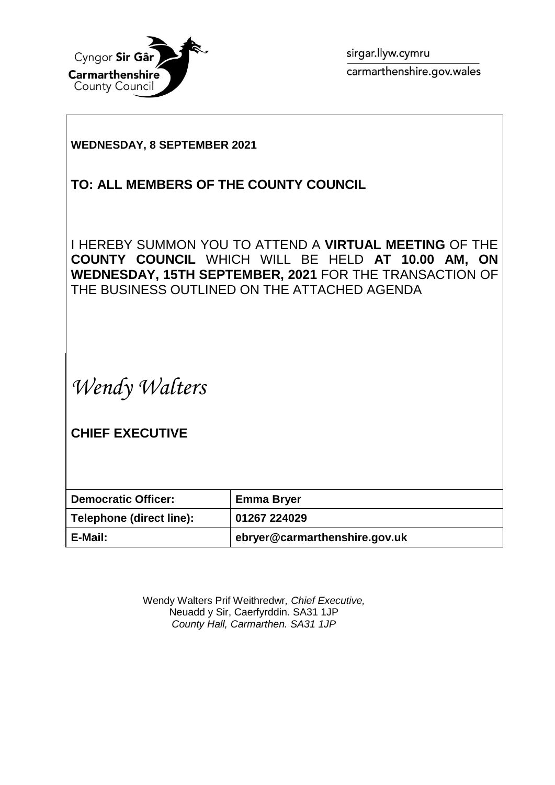

sirgar.llyw.cymru carmarthenshire.gov.wales

## **WEDNESDAY, 8 SEPTEMBER 2021**

# **TO: ALL MEMBERS OF THE COUNTY COUNCIL**

I HEREBY SUMMON YOU TO ATTEND A **VIRTUAL MEETING** OF THE **COUNTY COUNCIL** WHICH WILL BE HELD **AT 10.00 AM, ON WEDNESDAY, 15TH SEPTEMBER, 2021** FOR THE TRANSACTION OF THE BUSINESS OUTLINED ON THE ATTACHED AGENDA

*Wendy Walters*

**CHIEF EXECUTIVE**

| <b>Democratic Officer:</b> | <b>Emma Bryer</b>             |
|----------------------------|-------------------------------|
| Telephone (direct line):   | 01267 224029                  |
| E-Mail:                    | ebryer@carmarthenshire.gov.uk |

Wendy Walters Prif Weithredwr*, Chief Executive,* Neuadd y Sir, Caerfyrddin. SA31 1JP *County Hall, Carmarthen. SA31 1JP*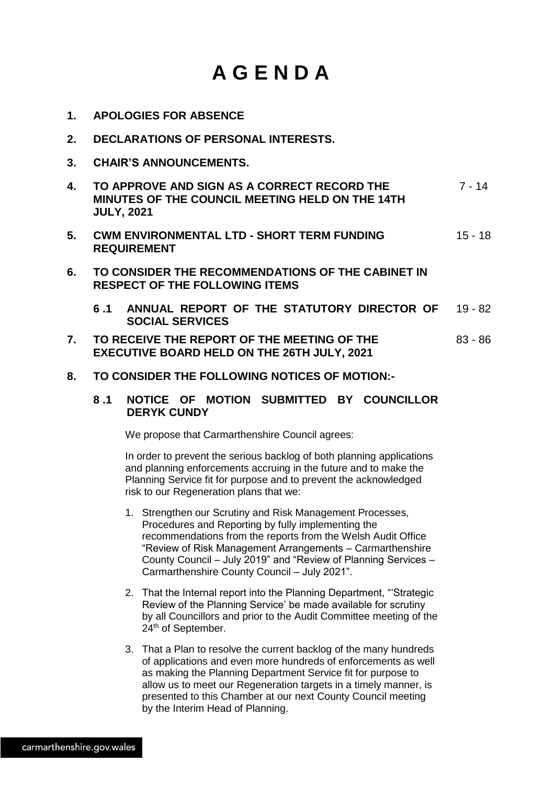# **A G E N D A**

- **1. APOLOGIES FOR ABSENCE**
- **2. DECLARATIONS OF PERSONAL INTERESTS.**
- **3. CHAIR'S ANNOUNCEMENTS.**
- **4. TO APPROVE AND SIGN AS A CORRECT RECORD THE MINUTES OF THE COUNCIL MEETING HELD ON THE 14TH JULY, 2021** 7 - 14
- **5. CWM ENVIRONMENTAL LTD - SHORT TERM FUNDING REQUIREMENT** 15 - 18
- **6. TO CONSIDER THE RECOMMENDATIONS OF THE CABINET IN RESPECT OF THE FOLLOWING ITEMS**
	- **6 .1 ANNUAL REPORT OF THE STATUTORY DIRECTOR OF SOCIAL SERVICES** 19 - 82
- **7. TO RECEIVE THE REPORT OF THE MEETING OF THE EXECUTIVE BOARD HELD ON THE 26TH JULY, 2021** 83 - 86
- **8. TO CONSIDER THE FOLLOWING NOTICES OF MOTION:-**

#### **8 .1 NOTICE OF MOTION SUBMITTED BY COUNCILLOR DERYK CUNDY**

We propose that Carmarthenshire Council agrees:

In order to prevent the serious backlog of both planning applications and planning enforcements accruing in the future and to make the Planning Service fit for purpose and to prevent the acknowledged risk to our Regeneration plans that we:

- 1. Strengthen our Scrutiny and Risk Management Processes, Procedures and Reporting by fully implementing the recommendations from the reports from the Welsh Audit Office "Review of Risk Management Arrangements – Carmarthenshire County Council – July 2019" and "Review of Planning Services – Carmarthenshire County Council – July 2021".
- 2. That the Internal report into the Planning Department, "'Strategic Review of the Planning Service' be made available for scrutiny by all Councillors and prior to the Audit Committee meeting of the 24<sup>th</sup> of September.
- 3. That a Plan to resolve the current backlog of the many hundreds of applications and even more hundreds of enforcements as well as making the Planning Department Service fit for purpose to allow us to meet our Regeneration targets in a timely manner, is presented to this Chamber at our next County Council meeting by the Interim Head of Planning.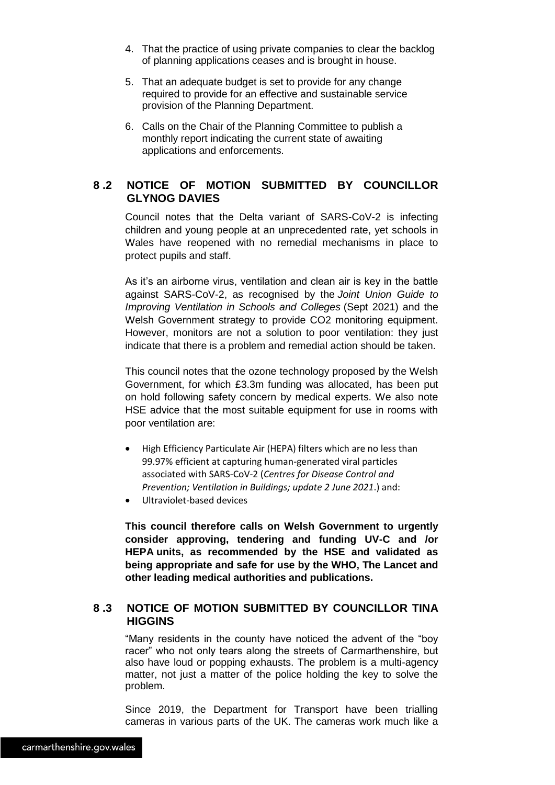- 4. That the practice of using private companies to clear the backlog of planning applications ceases and is brought in house.
- 5. That an adequate budget is set to provide for any change required to provide for an effective and sustainable service provision of the Planning Department.
- 6. Calls on the Chair of the Planning Committee to publish a monthly report indicating the current state of awaiting applications and enforcements.

#### **8 .2 NOTICE OF MOTION SUBMITTED BY COUNCILLOR GLYNOG DAVIES**

Council notes that the Delta variant of SARS-CoV-2 is infecting children and young people at an unprecedented rate, yet schools in Wales have reopened with no remedial mechanisms in place to protect pupils and staff.

As it's an airborne virus, ventilation and clean air is key in the battle against SARS-CoV-2, as recognised by the *Joint Union Guide to Improving Ventilation in Schools and Colleges* (Sept 2021) and the Welsh Government strategy to provide CO2 monitoring equipment. However, monitors are not a solution to poor ventilation; they just indicate that there is a problem and remedial action should be taken.

This council notes that the ozone technology proposed by the Welsh Government, for which £3.3m funding was allocated, has been put on hold following safety concern by medical experts. We also note HSE advice that the most suitable equipment for use in rooms with poor ventilation are:

- High Efficiency Particulate Air (HEPA) filters which are no less than 99.97% efficient at capturing human-generated viral particles associated with SARS-CoV-2 (*Centres for Disease Control and Prevention; Ventilation in Buildings; update 2 June 2021*.) and:
- Ultraviolet-based devices

**This council therefore calls on Welsh Government to urgently consider approving, tendering and funding UV-C and /or HEPA units, as recommended by the HSE and validated as being appropriate and safe for use by the WHO, The Lancet and other leading medical authorities and publications.**

#### **8 .3 NOTICE OF MOTION SUBMITTED BY COUNCILLOR TINA HIGGINS**

"Many residents in the county have noticed the advent of the "boy racer" who not only tears along the streets of Carmarthenshire, but also have loud or popping exhausts. The problem is a multi-agency matter, not just a matter of the police holding the key to solve the problem.

Since 2019, the Department for Transport have been trialling cameras in various parts of the UK. The cameras work much like a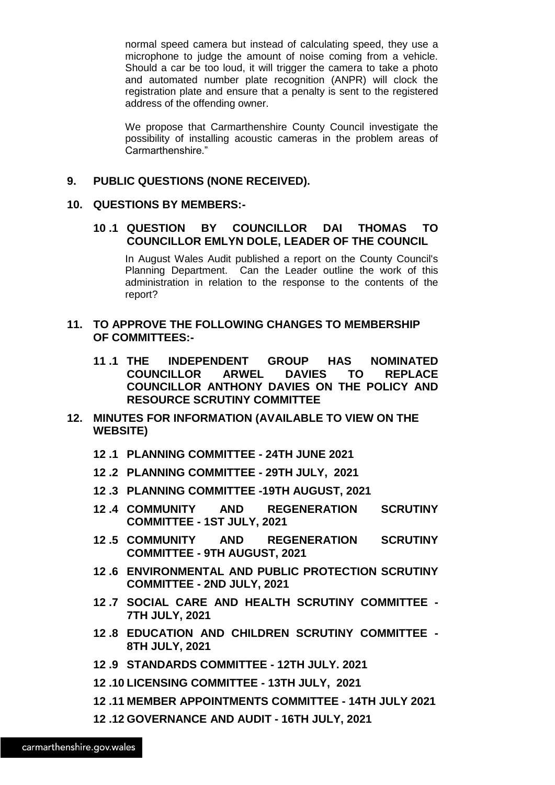normal speed camera but instead of calculating speed, they use a microphone to judge the amount of noise coming from a vehicle. Should a car be too loud, it will trigger the camera to take a photo and automated number plate recognition (ANPR) will clock the registration plate and ensure that a penalty is sent to the registered address of the offending owner.

We propose that Carmarthenshire County Council investigate the possibility of installing acoustic cameras in the problem areas of Carmarthenshire."

#### **9. PUBLIC QUESTIONS (NONE RECEIVED).**

#### **10. QUESTIONS BY MEMBERS:-**

#### **10 .1 QUESTION BY COUNCILLOR DAI THOMAS TO COUNCILLOR EMLYN DOLE, LEADER OF THE COUNCIL**

In August Wales Audit published a report on the County Council's Planning Department. Can the Leader outline the work of this administration in relation to the response to the contents of the report?

#### **11. TO APPROVE THE FOLLOWING CHANGES TO MEMBERSHIP OF COMMITTEES:-**

- **11 .1 THE INDEPENDENT GROUP HAS NOMINATED COUNCILLOR ARWEL DAVIES TO REPLACE COUNCILLOR ANTHONY DAVIES ON THE POLICY AND RESOURCE SCRUTINY COMMITTEE**
- **12. MINUTES FOR INFORMATION (AVAILABLE TO VIEW ON THE WEBSITE)**
	- **12 .1 PLANNING COMMITTEE - 24TH JUNE 2021**
	- **12 .2 PLANNING COMMITTEE - 29TH JULY, 2021**
	- **12 .3 PLANNING COMMITTEE -19TH AUGUST, 2021**
	- **12 .4 COMMUNITY AND REGENERATION SCRUTINY COMMITTEE - 1ST JULY, 2021**
	- **12 .5 COMMUNITY AND REGENERATION SCRUTINY COMMITTEE - 9TH AUGUST, 2021**
	- **12 .6 ENVIRONMENTAL AND PUBLIC PROTECTION SCRUTINY COMMITTEE - 2ND JULY, 2021**
	- **12 .7 SOCIAL CARE AND HEALTH SCRUTINY COMMITTEE - 7TH JULY, 2021**
	- **12 .8 EDUCATION AND CHILDREN SCRUTINY COMMITTEE - 8TH JULY, 2021**
	- **12 .9 STANDARDS COMMITTEE - 12TH JULY. 2021**
	- **12 .10 LICENSING COMMITTEE - 13TH JULY, 2021**
	- **12 .11 MEMBER APPOINTMENTS COMMITTEE - 14TH JULY 2021**
	- **12 .12 GOVERNANCE AND AUDIT - 16TH JULY, 2021**